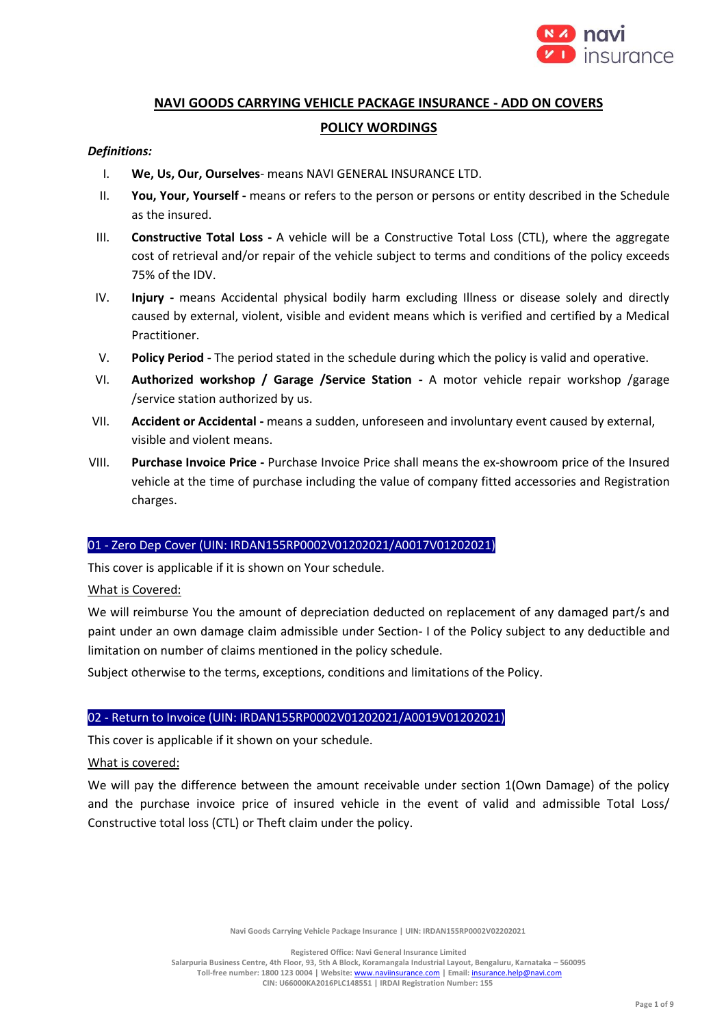

# **NAVI GOODS CARRYING VEHICLE PACKAGE INSURANCE - ADD ON COVERS POLICY WORDINGS**

# *Definitions:*

- I. **We, Us, Our, Ourselves** means NAVI GENERAL INSURANCE LTD.
- II. **You, Your, Yourself -** means or refers to the person or persons or entity described in the Schedule as the insured.
- III. **Constructive Total Loss -** A vehicle will be a Constructive Total Loss (CTL), where the aggregate cost of retrieval and/or repair of the vehicle subject to terms and conditions of the policy exceeds 75% of the IDV.
- IV. **Injury -** means Accidental physical bodily harm excluding Illness or disease solely and directly caused by external, violent, visible and evident means which is verified and certified by a Medical Practitioner.
- V. **Policy Period -** The period stated in the schedule during which the policy is valid and operative.
- VI. **Authorized workshop / Garage /Service Station -** A motor vehicle repair workshop /garage /service station authorized by us.
- VII. **Accident or Accidental -** means a sudden, unforeseen and involuntary event caused by external, visible and violent means.
- VIII. **Purchase Invoice Price -** Purchase Invoice Price shall means the ex-showroom price of the Insured vehicle at the time of purchase including the value of company fitted accessories and Registration charges.

# 01 - Zero Dep Cover (UIN: IRDAN155RP0002V01202021/A0017V01202021)

This cover is applicable if it is shown on Your schedule.

# What is Covered:

We will reimburse You the amount of depreciation deducted on replacement of any damaged part/s and paint under an own damage claim admissible under Section- I of the Policy subject to any deductible and limitation on number of claims mentioned in the policy schedule.

Subject otherwise to the terms, exceptions, conditions and limitations of the Policy.

# 02 - Return to Invoice (UIN: IRDAN155RP0002V01202021/A0019V01202021)

This cover is applicable if it shown on your schedule.

What is covered:

We will pay the difference between the amount receivable under section 1(Own Damage) of the policy and the purchase invoice price of insured vehicle in the event of valid and admissible Total Loss/ Constructive total loss (CTL) or Theft claim under the policy.

**Navi Goods Carrying Vehicle Package Insurance | UIN: IRDAN155RP0002V02202021**

**Registered Office: Navi General Insurance Limited**

**Salarpuria Business Centre, 4th Floor, 93, 5th A Block, Koramangala Industrial Layout, Bengaluru, Karnataka – 560095 Toll-free number: 1800 123 0004 | Website:** [www.naviinsurance.com](http://www.naviinsurance.com/) **| Email:** [insurance.help@navi.com](mailto:insurance.help@navi.com)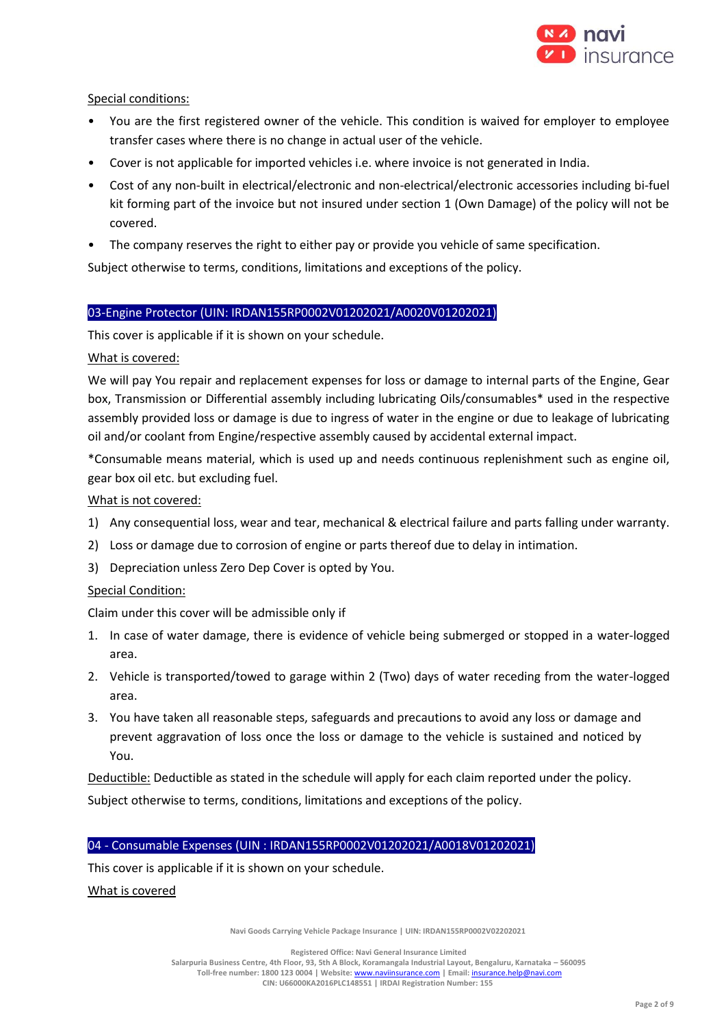

Special conditions:

- You are the first registered owner of the vehicle. This condition is waived for employer to employee transfer cases where there is no change in actual user of the vehicle.
- Cover is not applicable for imported vehicles i.e. where invoice is not generated in India.
- Cost of any non-built in electrical/electronic and non-electrical/electronic accessories including bi-fuel kit forming part of the invoice but not insured under section 1 (Own Damage) of the policy will not be covered.
- The company reserves the right to either pay or provide you vehicle of same specification.

Subject otherwise to terms, conditions, limitations and exceptions of the policy.

# 03-Engine Protector (UIN: IRDAN155RP0002V01202021/A0020V01202021)

This cover is applicable if it is shown on your schedule.

What is covered:

We will pay You repair and replacement expenses for loss or damage to internal parts of the Engine, Gear box, Transmission or Differential assembly including lubricating Oils/consumables\* used in the respective assembly provided loss or damage is due to ingress of water in the engine or due to leakage of lubricating oil and/or coolant from Engine/respective assembly caused by accidental external impact.

\*Consumable means material, which is used up and needs continuous replenishment such as engine oil, gear box oil etc. but excluding fuel.

What is not covered:

- 1) Any consequential loss, wear and tear, mechanical & electrical failure and parts falling under warranty.
- 2) Loss or damage due to corrosion of engine or parts thereof due to delay in intimation.
- 3) Depreciation unless Zero Dep Cover is opted by You.

# Special Condition:

Claim under this cover will be admissible only if

- 1. In case of water damage, there is evidence of vehicle being submerged or stopped in a water-logged area.
- 2. Vehicle is transported/towed to garage within 2 (Two) days of water receding from the water-logged area.
- 3. You have taken all reasonable steps, safeguards and precautions to avoid any loss or damage and prevent aggravation of loss once the loss or damage to the vehicle is sustained and noticed by You.

Deductible: Deductible as stated in the schedule will apply for each claim reported under the policy. Subject otherwise to terms, conditions, limitations and exceptions of the policy.

### 04 - Consumable Expenses (UIN : IRDAN155RP0002V01202021/A0018V01202021)

This cover is applicable if it is shown on your schedule.

What is covered

**Navi Goods Carrying Vehicle Package Insurance | UIN: IRDAN155RP0002V02202021**

**Registered Office: Navi General Insurance Limited Salarpuria Business Centre, 4th Floor, 93, 5th A Block, Koramangala Industrial Layout, Bengaluru, Karnataka – 560095 Toll-free number: 1800 123 0004 | Website:** [www.naviinsurance.com](http://www.naviinsurance.com/) **| Email:** [insurance.help@navi.com](mailto:insurance.help@navi.com) **CIN: U66000KA2016PLC148551 | IRDAI Registration Number: 155**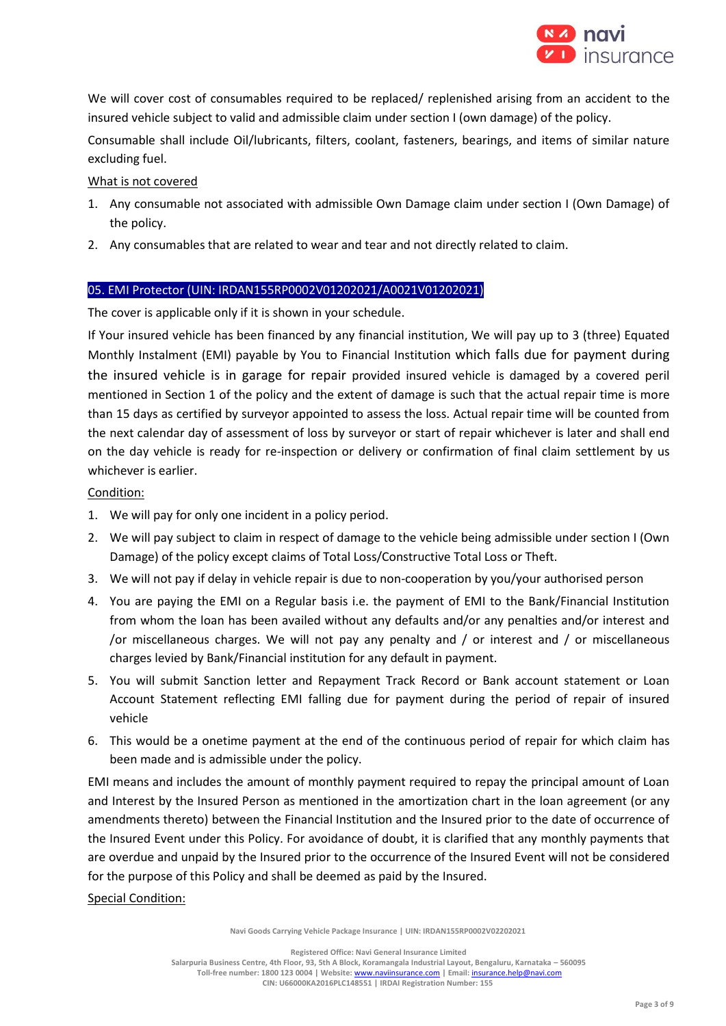

We will cover cost of consumables required to be replaced/ replenished arising from an accident to the insured vehicle subject to valid and admissible claim under section I (own damage) of the policy.

Consumable shall include Oil/lubricants, filters, coolant, fasteners, bearings, and items of similar nature excluding fuel.

# What is not covered

- 1. Any consumable not associated with admissible Own Damage claim under section I (Own Damage) of the policy.
- 2. Any consumables that are related to wear and tear and not directly related to claim.

# 05. EMI Protector (UIN: IRDAN155RP0002V01202021/A0021V01202021)

The cover is applicable only if it is shown in your schedule.

If Your insured vehicle has been financed by any financial institution, We will pay up to 3 (three) Equated Monthly Instalment (EMI) payable by You to Financial Institution which falls due for payment during the insured vehicle is in garage for repair provided insured vehicle is damaged by a covered peril mentioned in Section 1 of the policy and the extent of damage is such that the actual repair time is more than 15 days as certified by surveyor appointed to assess the loss. Actual repair time will be counted from the next calendar day of assessment of loss by surveyor or start of repair whichever is later and shall end on the day vehicle is ready for re-inspection or delivery or confirmation of final claim settlement by us whichever is earlier.

# Condition:

- 1. We will pay for only one incident in a policy period.
- 2. We will pay subject to claim in respect of damage to the vehicle being admissible under section I (Own Damage) of the policy except claims of Total Loss/Constructive Total Loss or Theft.
- 3. We will not pay if delay in vehicle repair is due to non-cooperation by you/your authorised person
- 4. You are paying the EMI on a Regular basis i.e. the payment of EMI to the Bank/Financial Institution from whom the loan has been availed without any defaults and/or any penalties and/or interest and /or miscellaneous charges. We will not pay any penalty and / or interest and / or miscellaneous charges levied by Bank/Financial institution for any default in payment.
- 5. You will submit Sanction letter and Repayment Track Record or Bank account statement or Loan Account Statement reflecting EMI falling due for payment during the period of repair of insured vehicle
- 6. This would be a onetime payment at the end of the continuous period of repair for which claim has been made and is admissible under the policy.

EMI means and includes the amount of monthly payment required to repay the principal amount of Loan and Interest by the Insured Person as mentioned in the amortization chart in the loan agreement (or any amendments thereto) between the Financial Institution and the Insured prior to the date of occurrence of the Insured Event under this Policy. For avoidance of doubt, it is clarified that any monthly payments that are overdue and unpaid by the Insured prior to the occurrence of the Insured Event will not be considered for the purpose of this Policy and shall be deemed as paid by the Insured.

### Special Condition:

**Navi Goods Carrying Vehicle Package Insurance | UIN: IRDAN155RP0002V02202021**

**Registered Office: Navi General Insurance Limited Salarpuria Business Centre, 4th Floor, 93, 5th A Block, Koramangala Industrial Layout, Bengaluru, Karnataka – 560095 Toll-free number: 1800 123 0004 | Website:** [www.naviinsurance.com](http://www.naviinsurance.com/) **| Email:** [insurance.help@navi.com](mailto:insurance.help@navi.com) **CIN: U66000KA2016PLC148551 | IRDAI Registration Number: 155**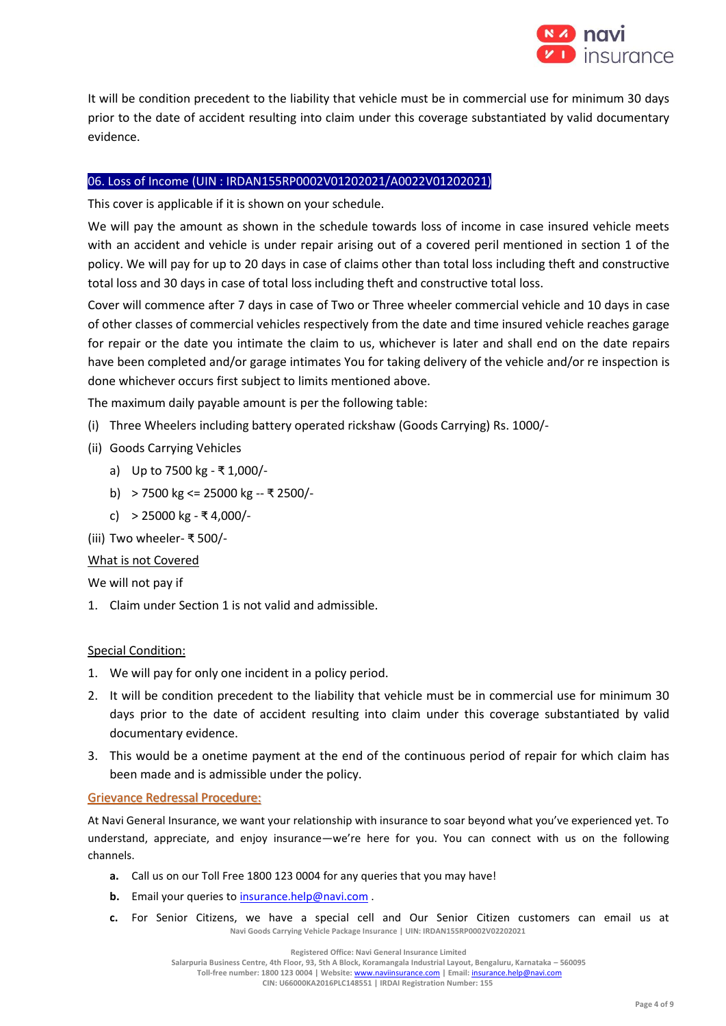

It will be condition precedent to the liability that vehicle must be in commercial use for minimum 30 days prior to the date of accident resulting into claim under this coverage substantiated by valid documentary evidence.

# 06. Loss of Income (UIN : IRDAN155RP0002V01202021/A0022V01202021)

This cover is applicable if it is shown on your schedule.

We will pay the amount as shown in the schedule towards loss of income in case insured vehicle meets with an accident and vehicle is under repair arising out of a covered peril mentioned in section 1 of the policy. We will pay for up to 20 days in case of claims other than total loss including theft and constructive total loss and 30 days in case of total loss including theft and constructive total loss.

Cover will commence after 7 days in case of Two or Three wheeler commercial vehicle and 10 days in case of other classes of commercial vehicles respectively from the date and time insured vehicle reaches garage for repair or the date you intimate the claim to us, whichever is later and shall end on the date repairs have been completed and/or garage intimates You for taking delivery of the vehicle and/or re inspection is done whichever occurs first subject to limits mentioned above.

The maximum daily payable amount is per the following table:

- (i) Three Wheelers including battery operated rickshaw (Goods Carrying) Rs. 1000/-
- (ii) Goods Carrying Vehicles
	- a) Up to 7500 kg ₹ 1,000/-
	- b) > 7500 kg <= 25000 kg -- ₹ 2500/-
	- c) > 25000 kg ₹ 4,000/-
- (iii) Two wheeler- ₹ 500/-

# What is not Covered

We will not pay if

1. Claim under Section 1 is not valid and admissible.

# Special Condition:

- 1. We will pay for only one incident in a policy period.
- 2. It will be condition precedent to the liability that vehicle must be in commercial use for minimum 30 days prior to the date of accident resulting into claim under this coverage substantiated by valid documentary evidence.
- 3. This would be a onetime payment at the end of the continuous period of repair for which claim has been made and is admissible under the policy.

# Grievance Redressal Procedure:

At Navi General Insurance, we want your relationship with insurance to soar beyond what you've experienced yet. To understand, appreciate, and enjoy insurance—we're here for you. You can connect with us on the following channels.

- **a.** Call us on our Toll Free 1800 123 0004 for any queries that you may have!
- **b.** Email your queries to **insurance**.help@navi.com.
- **Navi Goods Carrying Vehicle Package Insurance | UIN: IRDAN155RP0002V02202021 c.** For Senior Citizens, we have a special cell and Our Senior Citizen customers can email us at

**Registered Office: Navi General Insurance Limited**

**Salarpuria Business Centre, 4th Floor, 93, 5th A Block, Koramangala Industrial Layout, Bengaluru, Karnataka – 560095**

**Toll-free number: 1800 123 0004 | Website:** [www.naviinsurance.com](http://www.naviinsurance.com/) **| Email:** [insurance.help@navi.com](mailto:insurance.help@navi.com)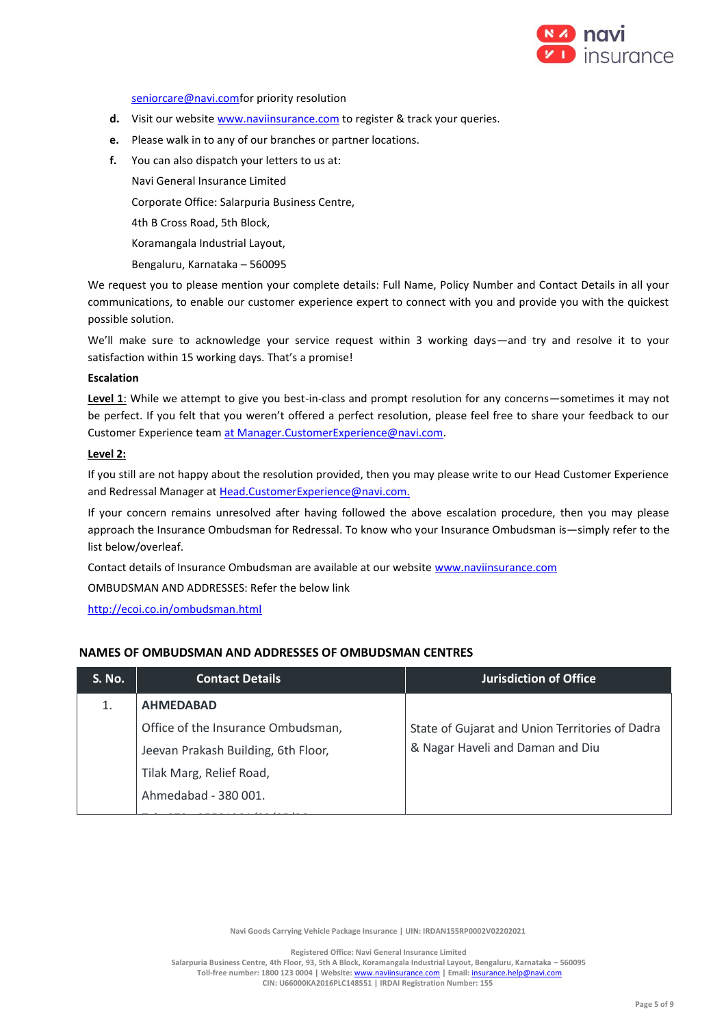

#### [seniorcare@navi.comf](mailto:seniorcare@navi.com)or priority resolution

- **d.** Visit our website [www.naviinsurance.com](http://www.naviinsurance.com/) to register & track your queries.
- **e.** Please walk in to any of our branches or partner locations.
- **f.** You can also dispatch your letters to us at:

Navi General Insurance Limited

Corporate Office: Salarpuria Business Centre,

4th B Cross Road, 5th Block,

Koramangala Industrial Layout,

Bengaluru, Karnataka – 560095

We request you to please mention your complete details: Full Name, Policy Number and Contact Details in all your communications, to enable our customer experience expert to connect with you and provide you with the quickest possible solution.

We'll make sure to acknowledge your service request within 3 working days—and try and resolve it to your satisfaction within 15 working days. That's a promise!

#### **Escalation**

**Level 1**: While we attempt to give you best-in-class and prompt resolution for any concerns—sometimes it may not be perfect. If you felt that you weren't offered a perfect resolution, please feel free to share your feedback to our Customer Experience team [at Manager.CustomerExperience@navi.com.](mailto:at%20Manager.CustomerExperience@navi.com)

#### **Level 2:**

If you still are not happy about the resolution provided, then you may please write to our Head Customer Experience and Redressal Manager at [Head.CustomerExperience@navi.com.](mailto:Head.CustomerExperience@navi.com.) 

If your concern remains unresolved after having followed the above escalation procedure, then you may please approach the Insurance Ombudsman for Redressal. To know who your Insurance Ombudsman is—simply refer to the list below/overleaf.

Contact details of Insurance Ombudsman are available at our websit[e www.naviinsurance.com](http://www.naviinsurance.com/)

OMBUDSMAN AND ADDRESSES: Refer the below link

<http://ecoi.co.in/ombudsman.html>

### **NAMES OF OMBUDSMAN AND ADDRESSES OF OMBUDSMAN CENTRES**

| <b>S. No.</b> | <b>Contact Details</b>              | <b>Jurisdiction of Office</b>                   |
|---------------|-------------------------------------|-------------------------------------------------|
|               | <b>AHMEDABAD</b>                    |                                                 |
|               | Office of the Insurance Ombudsman,  | State of Gujarat and Union Territories of Dadra |
|               | Jeevan Prakash Building, 6th Floor, | & Nagar Haveli and Daman and Diu                |
|               | Tilak Marg, Relief Road,            |                                                 |
|               | Ahmedabad - 380 001.                |                                                 |
|               |                                     |                                                 |

**Navi Goods Carrying Vehicle Package Insurance | UIN: IRDAN155RP0002V02202021**

**Registered Office: Navi General Insurance Limited**

**Salarpuria Business Centre, 4th Floor, 93, 5th A Block, Koramangala Industrial Layout, Bengaluru, Karnataka – 560095 Toll-free number: 1800 123 0004 | Website:** [www.naviinsurance.com](http://www.naviinsurance.com/) **| Email:** [insurance.help@navi.com](mailto:insurance.help@navi.com)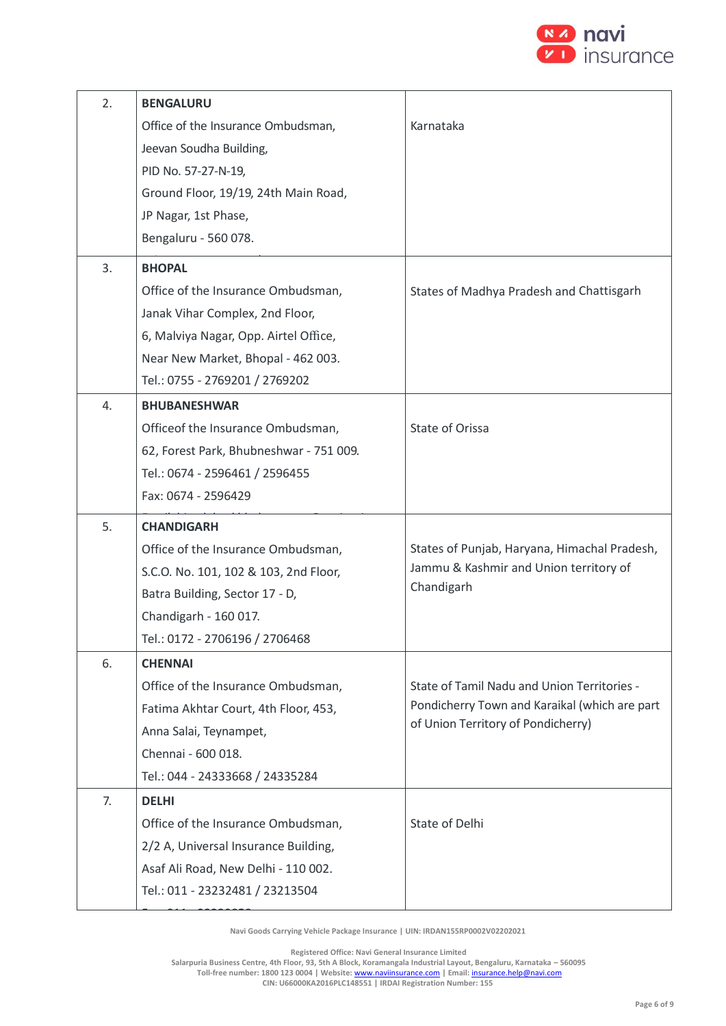

| 2. | <b>BENGALURU</b>                        |                                               |
|----|-----------------------------------------|-----------------------------------------------|
|    | Office of the Insurance Ombudsman,      | Karnataka                                     |
|    | Jeevan Soudha Building,                 |                                               |
|    | PID No. 57-27-N-19,                     |                                               |
|    | Ground Floor, 19/19, 24th Main Road,    |                                               |
|    | JP Nagar, 1st Phase,                    |                                               |
|    | Bengaluru - 560 078.                    |                                               |
| 3. | <b>BHOPAL</b>                           |                                               |
|    | Office of the Insurance Ombudsman,      | States of Madhya Pradesh and Chattisgarh      |
|    | Janak Vihar Complex, 2nd Floor,         |                                               |
|    | 6, Malviya Nagar, Opp. Airtel Office,   |                                               |
|    | Near New Market, Bhopal - 462 003.      |                                               |
|    | Tel.: 0755 - 2769201 / 2769202          |                                               |
| 4. | <b>BHUBANESHWAR</b>                     |                                               |
|    | Officeof the Insurance Ombudsman,       | State of Orissa                               |
|    | 62, Forest Park, Bhubneshwar - 751 009. |                                               |
|    | Tel.: 0674 - 2596461 / 2596455          |                                               |
|    | Fax: 0674 - 2596429                     |                                               |
| 5. | <b>CHANDIGARH</b>                       |                                               |
|    | Office of the Insurance Ombudsman,      | States of Punjab, Haryana, Himachal Pradesh,  |
|    | S.C.O. No. 101, 102 & 103, 2nd Floor,   | Jammu & Kashmir and Union territory of        |
|    | Batra Building, Sector 17 - D,          | Chandigarh                                    |
|    | Chandigarh - 160 017.                   |                                               |
|    | Tel.: 0172 - 2706196 / 2706468          |                                               |
| 6. | <b>CHENNAI</b>                          |                                               |
|    | Office of the Insurance Ombudsman,      | State of Tamil Nadu and Union Territories -   |
|    | Fatima Akhtar Court, 4th Floor, 453,    | Pondicherry Town and Karaikal (which are part |
|    | Anna Salai, Teynampet,                  | of Union Territory of Pondicherry)            |
|    | Chennai - 600 018.                      |                                               |
|    | Tel.: 044 - 24333668 / 24335284         |                                               |
| 7. | <b>DELHI</b>                            |                                               |
|    | Office of the Insurance Ombudsman,      | State of Delhi                                |
|    |                                         |                                               |
|    | 2/2 A, Universal Insurance Building,    |                                               |
|    | Asaf Ali Road, New Delhi - 110 002.     |                                               |
|    | Tel.: 011 - 23232481 / 23213504         |                                               |

**Navi Goods Carrying Vehicle Package Insurance | UIN: IRDAN155RP0002V02202021** Navi Goods Carrying Venicle

**Registered Office: Navi General Insurance Limited**

**Salarpuria Business Centre, 4th Floor, 93, 5th A Block, Koramangala Industrial Layout, Bengaluru, Karnataka – 560095 Toll-free number: 1800 123 0004 | Website:** [www.naviinsurance.com](http://www.naviinsurance.com/) **| Email:** [insurance.help@navi.com](mailto:insurance.help@navi.com)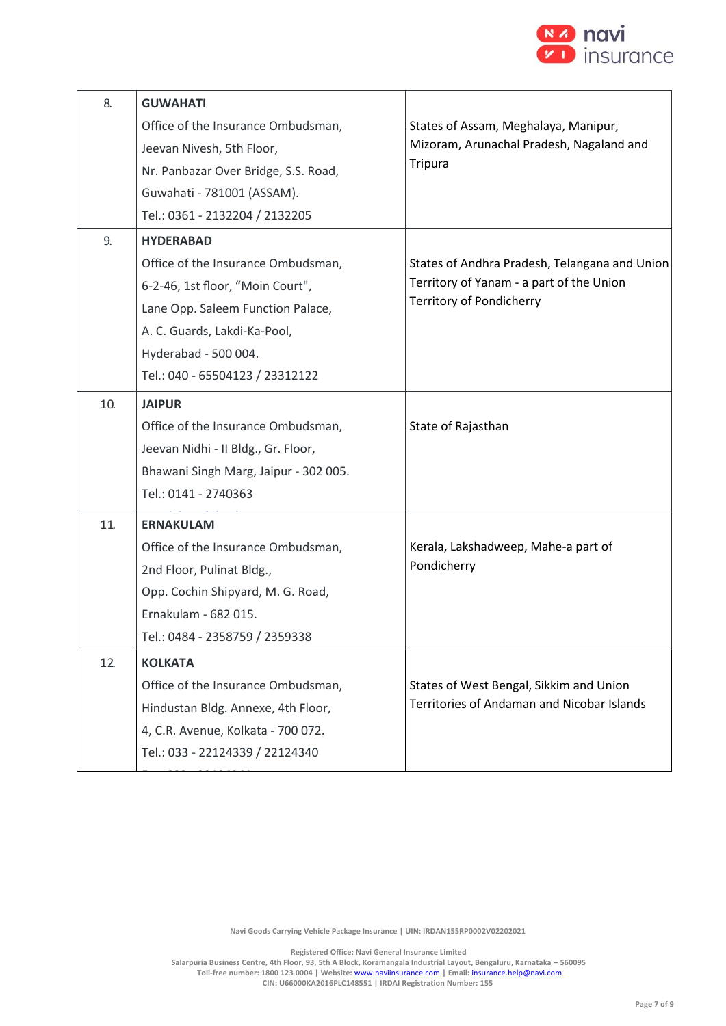

| 8.  | <b>GUWAHATI</b>                       |                                                   |
|-----|---------------------------------------|---------------------------------------------------|
|     | Office of the Insurance Ombudsman,    | States of Assam, Meghalaya, Manipur,              |
|     | Jeevan Nivesh, 5th Floor,             | Mizoram, Arunachal Pradesh, Nagaland and          |
|     | Nr. Panbazar Over Bridge, S.S. Road,  | <b>Tripura</b>                                    |
|     | Guwahati - 781001 (ASSAM).            |                                                   |
|     | Tel.: 0361 - 2132204 / 2132205        |                                                   |
| 9.  | <b>HYDERABAD</b>                      |                                                   |
|     | Office of the Insurance Ombudsman,    | States of Andhra Pradesh, Telangana and Union     |
|     | 6-2-46, 1st floor, "Moin Court",      | Territory of Yanam - a part of the Union          |
|     | Lane Opp. Saleem Function Palace,     | <b>Territory of Pondicherry</b>                   |
|     | A. C. Guards, Lakdi-Ka-Pool,          |                                                   |
|     | Hyderabad - 500 004.                  |                                                   |
|     | Tel.: 040 - 65504123 / 23312122       |                                                   |
| 10. | <b>JAIPUR</b>                         |                                                   |
|     | Office of the Insurance Ombudsman,    | State of Rajasthan                                |
|     | Jeevan Nidhi - II Bldg., Gr. Floor,   |                                                   |
|     | Bhawani Singh Marg, Jaipur - 302 005. |                                                   |
|     | Tel.: 0141 - 2740363                  |                                                   |
| 11. | <b>ERNAKULAM</b>                      |                                                   |
|     | Office of the Insurance Ombudsman,    | Kerala, Lakshadweep, Mahe-a part of               |
|     | 2nd Floor, Pulinat Bldg.,             | Pondicherry                                       |
|     | Opp. Cochin Shipyard, M. G. Road,     |                                                   |
|     | Ernakulam - 682 015.                  |                                                   |
|     | Tel.: 0484 - 2358759 / 2359338        |                                                   |
| 12. | <b>KOLKATA</b>                        |                                                   |
|     | Office of the Insurance Ombudsman,    | States of West Bengal, Sikkim and Union           |
|     | Hindustan Bldg. Annexe, 4th Floor,    | <b>Territories of Andaman and Nicobar Islands</b> |
|     | 4, C.R. Avenue, Kolkata - 700 072.    |                                                   |
|     | Tel.: 033 - 22124339 / 22124340       |                                                   |
|     |                                       |                                                   |

**Navi Goods Carrying Vehicle Package Insurance | UIN: IRDAN155RP0002V02202021**

**Registered Office: Navi General Insurance Limited**

**Salarpuria Business Centre, 4th Floor, 93, 5th A Block, Koramangala Industrial Layout, Bengaluru, Karnataka – 560095 Toll-free number: 1800 123 0004 | Website:** [www.naviinsurance.com](http://www.naviinsurance.com/) **| Email:** [insurance.help@navi.com](mailto:insurance.help@navi.com)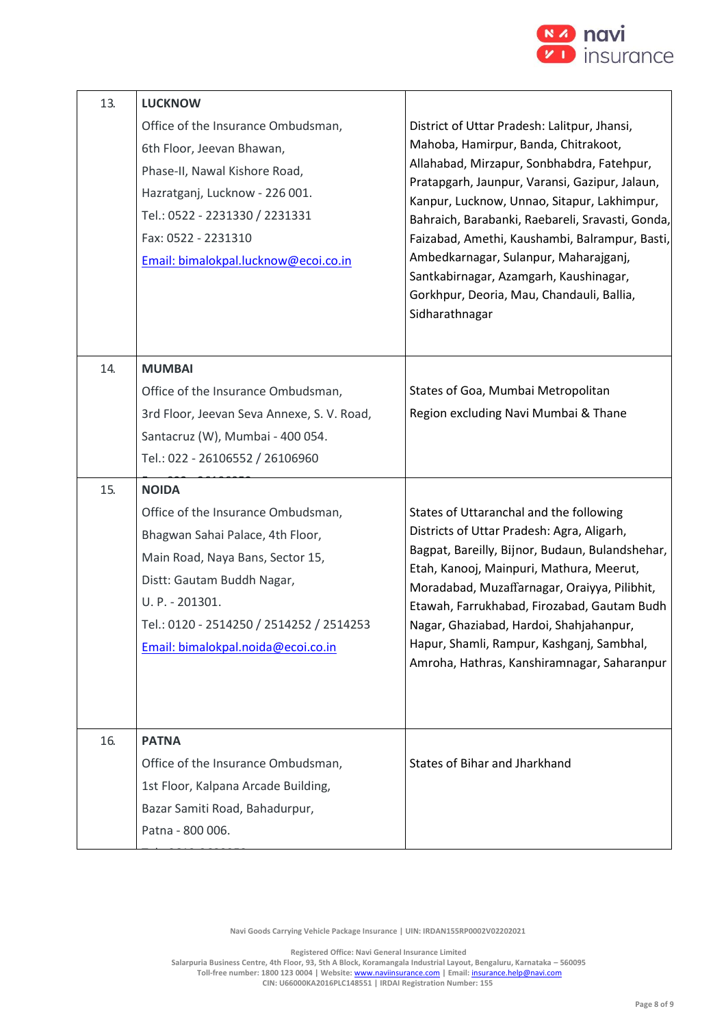

| 13. | <b>LUCKNOW</b><br>Office of the Insurance Ombudsman,<br>6th Floor, Jeevan Bhawan,<br>Phase-II, Nawal Kishore Road,<br>Hazratganj, Lucknow - 226 001.<br>Tel.: 0522 - 2231330 / 2231331<br>Fax: 0522 - 2231310<br>Email: bimalokpal.lucknow@ecoi.co.in         | District of Uttar Pradesh: Lalitpur, Jhansi,<br>Mahoba, Hamirpur, Banda, Chitrakoot,<br>Allahabad, Mirzapur, Sonbhabdra, Fatehpur,<br>Pratapgarh, Jaunpur, Varansi, Gazipur, Jalaun,<br>Kanpur, Lucknow, Unnao, Sitapur, Lakhimpur,<br>Bahraich, Barabanki, Raebareli, Sravasti, Gonda,<br>Faizabad, Amethi, Kaushambi, Balrampur, Basti,<br>Ambedkarnagar, Sulanpur, Maharajganj,<br>Santkabirnagar, Azamgarh, Kaushinagar,<br>Gorkhpur, Deoria, Mau, Chandauli, Ballia,<br>Sidharathnagar |
|-----|---------------------------------------------------------------------------------------------------------------------------------------------------------------------------------------------------------------------------------------------------------------|---------------------------------------------------------------------------------------------------------------------------------------------------------------------------------------------------------------------------------------------------------------------------------------------------------------------------------------------------------------------------------------------------------------------------------------------------------------------------------------------|
| 14. | <b>MUMBAI</b><br>Office of the Insurance Ombudsman,<br>3rd Floor, Jeevan Seva Annexe, S. V. Road,<br>Santacruz (W), Mumbai - 400 054.<br>Tel.: 022 - 26106552 / 26106960                                                                                      | States of Goa, Mumbai Metropolitan<br>Region excluding Navi Mumbai & Thane                                                                                                                                                                                                                                                                                                                                                                                                                  |
| 15. | <b>NOIDA</b><br>Office of the Insurance Ombudsman,<br>Bhagwan Sahai Palace, 4th Floor,<br>Main Road, Naya Bans, Sector 15,<br>Distt: Gautam Buddh Nagar,<br>U. P. - 201301.<br>Tel.: 0120 - 2514250 / 2514252 / 2514253<br>Email: bimalokpal.noida@ecoi.co.in | States of Uttaranchal and the following<br>Districts of Uttar Pradesh: Agra, Aligarh,<br>Bagpat, Bareilly, Bijnor, Budaun, Bulandshehar,<br>Etah, Kanooj, Mainpuri, Mathura, Meerut,<br>Moradabad, Muzaffarnagar, Oraiyya, Pilibhit,<br>Etawah, Farrukhabad, Firozabad, Gautam Budh<br>Nagar, Ghaziabad, Hardoi, Shahjahanpur,<br>Hapur, Shamli, Rampur, Kashganj, Sambhal,<br>Amroha, Hathras, Kanshiramnagar, Saharanpur                                                                  |
| 16. | <b>PATNA</b><br>Office of the Insurance Ombudsman,<br>1st Floor, Kalpana Arcade Building,<br>Bazar Samiti Road, Bahadurpur,<br>Patna - 800 006.                                                                                                               | States of Bihar and Jharkhand                                                                                                                                                                                                                                                                                                                                                                                                                                                               |

**Navi Goods Carrying Vehicle Package Insurance | UIN: IRDAN155RP0002V02202021**

Tel.: 0612-2680952

**Registered Office: Navi General Insurance Limited**

**Salarpuria Business Centre, 4th Floor, 93, 5th A Block, Koramangala Industrial Layout, Bengaluru, Karnataka – 560095 Toll-free number: 1800 123 0004 | Website:** [www.naviinsurance.com](http://www.naviinsurance.com/) **| Email:** [insurance.help@navi.com](mailto:insurance.help@navi.com) **CIN: U66000KA2016PLC148551 | IRDAI Registration Number: 155**